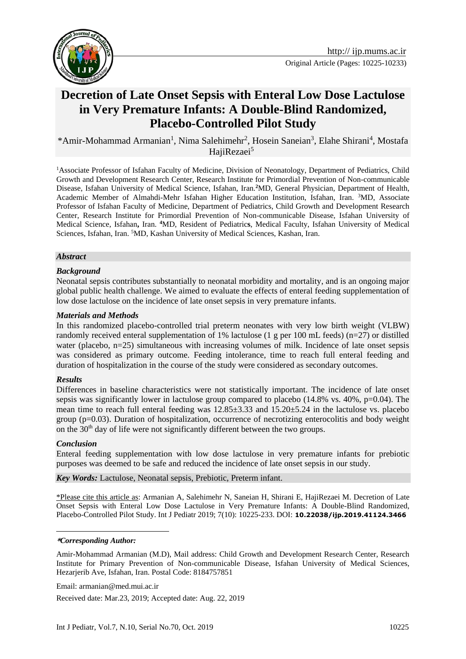

# **Decretion of Late Onset Sepsis with Enteral Low Dose Lactulose in Very Premature Infants: [A Double-Blind Randomized,](http://www.sciencedirect.com/science/article/pii/S0006322306005919)  [Placebo-Controlled Pilot Study](http://www.sciencedirect.com/science/article/pii/S0006322306005919)**

\*Amir-Mohammad Armanian<sup>1</sup>, Nima Salehimehr<sup>2</sup>, Hosein Saneian<sup>3</sup>, Elahe Shirani<sup>4</sup>, Mostafa HajiRezaei<sup>5</sup>

<sup>1</sup>Associate Professor of Isfahan Faculty of Medicine, Division of Neonatology, Department of Pediatrics, Child Growth and Development Research Center, Research Institute for Primordial Prevention of Non-communicable Disease, Isfahan University of Medical Science, Isfahan, Iran.**<sup>2</sup>**MD, General Physician, Department of Health, Academic Member of Almahdi-Mehr Isfahan Higher Education Institution, Isfahan, Iran. <sup>3</sup>MD, Associate Professor of Isfahan Faculty of Medicine, Department of Pediatrics, Child Growth and Development Research Center, Research Institute for Primordial Prevention of Non-communicable Disease, Isfahan University of Medical Science, Isfahan**,** Iran. **<sup>4</sup>**MD, Resident of Pediatric**s**, Medical Faculty, Isfahan University of Medical Sciences, Isfahan, Iran. <sup>5</sup>MD, Kashan University of Medical Sciences, Kashan, Iran.

#### *Abstract*

### *Background*

Neonatal sepsis contributes substantially to neonatal morbidity and mortality, and is an ongoing major global public health challenge. We aimed to evaluate the effects of enteral feeding supplementation of low dose lactulose on the incidence of late onset sepsis in very premature infants.

#### *Materials and Methods*

In this randomized placebo-controlled trial preterm neonates with very low birth weight (VLBW) randomly received enteral supplementation of 1% lactulose (1 g per 100 mL feeds) (n=27) or distilled water (placebo, n=25) simultaneous with increasing volumes of milk. Incidence of late onset sepsis was considered as primary outcome. Feeding intolerance, time to reach full enteral feeding and duration of hospitalization in the course of the study were considered as secondary outcomes.

#### *Results*

Differences in baseline characteristics were not statistically important. The incidence of late onset sepsis was significantly lower in lactulose group compared to placebo  $(14.8\% \text{ vs. } 40\% \text{, } p=0.04)$ . The mean time to reach full enteral feeding was 12.85±3.33 and 15.20±5.24 in the lactulose vs. placebo group (p=0.03). Duration of hospitalization, occurrence of necrotizing enterocolitis and body weight on the  $30<sup>th</sup>$  day of life were not significantly different between the two groups.

#### *Conclusion*

1

Enteral feeding supplementation with low dose lactulose in very premature infants for prebiotic purposes was deemed to be safe and reduced the incidence of late onset sepsis in our study.

*Key Words:* Lactulose, Neonatal sepsis, Prebiotic, Preterm infant.

\*Please cite this article as: Armanian A, Salehimehr N, Saneian H, Shirani E, HajiRezaei M. Decretion of Late Onset Sepsis with Enteral Low Dose Lactulose in Very Premature Infants: [A Double-Blind Randomized,](http://www.sciencedirect.com/science/article/pii/S0006322306005919)  [Placebo-Controlled Pilot Study.](http://www.sciencedirect.com/science/article/pii/S0006322306005919) Int J Pediatr 2019; 7(10): 10225-233. DOI: **10.22038/ijp.2019.41124.3466**

#### **\****Corresponding Author:*

Amir-Mohammad Armanian (M.D), Mail address: Child Growth and Development Research Center, Research Institute for Primary Prevention of Non-communicable Disease, Isfahan University of Medical Sciences, Hezarjerib Ave, Isfahan, Iran. Postal Code: 8184757851

Email: [armanian@med.mui.ac.ir](mailto:armanian@med.mui.ac.ir)

Received date: Mar.23, 2019; Accepted date: Aug. 22, 2019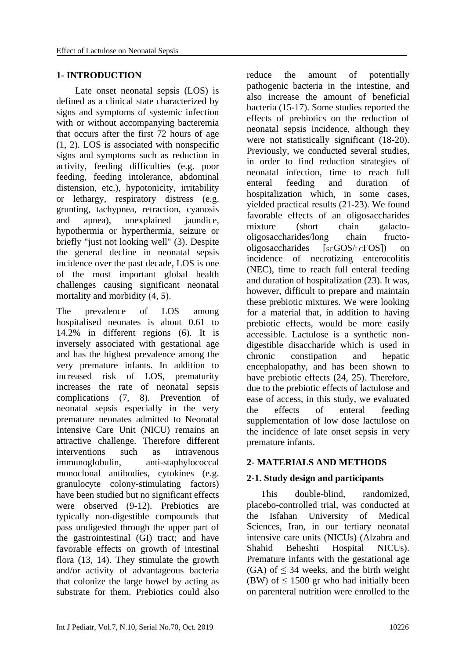## **1- INTRODUCTION**

 Late onset neonatal sepsis (LOS) is defined as a clinical state characterized by signs and symptoms of systemic infection with or without accompanying bacteremia that occurs after the first 72 hours of age (1, 2). LOS is associated with nonspecific signs and symptoms such as reduction in activity, feeding difficulties (e.g. poor feeding, feeding intolerance, abdominal distension, etc.), hypotonicity, irritability or lethargy, respiratory distress (e.g. grunting, tachypnea, retraction, cyanosis and apnea), unexplained jaundice, hypothermia or hyperthermia, seizure or briefly "just not looking well" (3). Despite the general decline in neonatal sepsis incidence over the past decade, LOS is one of the most important global health challenges causing significant neonatal mortality and morbidity (4, 5).

The prevalence of LOS among hospitalised neonates is about 0.61 to 14.2% in different regions (6). It is inversely associated with gestational age and has the highest prevalence among the very premature infants. In addition to increased risk of LOS, prematurity increases the rate of neonatal sepsis complications (7, 8). Prevention of neonatal sepsis especially in the very premature neonates admitted to Neonatal Intensive Care Unit (NICU) remains an attractive challenge. Therefore different interventions such as intravenous immunoglobulin, anti-staphylococcal monoclonal antibodies, cytokines (e.g. granulocyte colony-stimulating factors) have been studied but no significant effects were observed (9-12). Prebiotics are typically non-digestible compounds that pass undigested through the upper part of the gastrointestinal (GI) tract; and have favorable effects on growth of intestinal flora (13, 14). They stimulate the growth and/or activity of advantageous bacteria that colonize the large bowel by acting as substrate for them. Prebiotics could also reduce the amount of potentially pathogenic bacteria in the intestine, and also increase the amount of beneficial bacteria (15-17). Some studies reported the effects of prebiotics on the reduction of neonatal sepsis incidence, although they were not statistically significant (18-20). Previously, we conducted several studies, in order to find reduction strategies of neonatal infection, time to reach full enteral feeding and duration of hospitalization which, in some cases, yielded practical results (21-23). We found favorable effects of an oligosaccharides mixture (short chain galactooligosaccharides/long chain fructo $olieosaccharides$   $[scGOS/rcFOS]$  on incidence of necrotizing enterocolitis (NEC), time to reach full enteral feeding and duration of hospitalization (23). It was, however, difficult to prepare and maintain these prebiotic mixtures. We were looking for a material that, in addition to having prebiotic effects, would be more easily accessible. Lactulose is a synthetic nondigestible disaccharide which is used in chronic constipation and hepatic encephalopathy, and has been shown to have prebiotic effects (24, 25). Therefore, due to the prebiotic effects of lactulose and ease of access, in this study, we evaluated the effects of enteral feeding supplementation of low dose lactulose on the incidence of late onset sepsis in very premature infants.

# **2- MATERIALS AND METHODS**

# **2-1. Study design and participants**

 This [double-blind, randomized,](http://www.sciencedirect.com/science/article/pii/S0006322306005919)  [placebo-controlled trial,](http://www.sciencedirect.com/science/article/pii/S0006322306005919) was conducted at the Isfahan University of Medical Sciences, Iran, in our tertiary neonatal intensive care units (NICUs) (Alzahra and Shahid Beheshti Hospital NICUs). Premature infants with the gestational age (GA) of  $\leq$  34 weeks, and the birth weight (BW) of  $\leq$  1500 gr who had initially been on parenteral nutrition were enrolled to the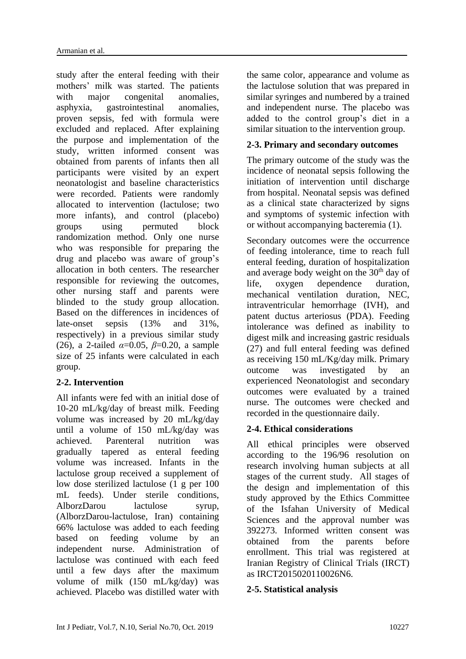study after the enteral feeding with their mothers' milk was started. The patients with major congenital anomalies, asphyxia, gastrointestinal anomalies, proven sepsis, fed with formula were excluded and replaced. After explaining the purpose and implementation of the study, written informed consent was obtained from parents of infants then all participants were visited by an expert neonatologist and baseline characteristics were recorded. Patients were randomly allocated to intervention (lactulose; two more infants), and control (placebo) groups using permuted block randomization method. Only one nurse who was responsible for preparing the drug and placebo was aware of group's allocation in both centers. The researcher responsible for reviewing the outcomes, other nursing staff and parents were blinded to the study group allocation. Based on the differences in incidences of late-onset sepsis (13% and 31%, respectively) in a previous similar study (26), a 2-tailed *α*=0.05, *β*=0.20, a sample size of 25 infants were calculated in each group.

# **2-2. Intervention**

All infants were fed with an initial dose of 10-20 mL/kg/day of breast milk. Feeding volume was increased by 20 mL/kg/day until a volume of 150 mL/kg/day was achieved. Parenteral nutrition was gradually tapered as enteral feeding volume was increased. Infants in the lactulose group received a supplement of low dose sterilized lactulose (1 g per 100 mL feeds). Under sterile conditions, AlborzDarou lactulose syrup, (AlborzDarou-lactulose, Iran) containing 66% lactulose was added to each feeding based on feeding volume by an independent nurse. Administration of lactulose was continued with each feed until a few days after the maximum volume of milk (150 mL/kg/day) was achieved. Placebo was distilled water with the same color, appearance and volume as the lactulose solution that was prepared in similar syringes and numbered by a trained and independent nurse. The placebo was added to the control group's diet in a similar situation to the intervention group.

# **2-3. Primary and secondary outcomes**

The primary outcome of the study was the incidence of neonatal sepsis following the initiation of intervention until discharge from hospital. Neonatal sepsis was defined as a clinical state characterized by signs and symptoms of systemic infection with or without accompanying bacteremia (1).

Secondary outcomes were the occurrence of feeding intolerance, time to reach full enteral feeding, duration of hospitalization and average body weight on the  $30<sup>th</sup>$  day of life, oxygen dependence duration, mechanical ventilation duration, NEC, intraventricular hemorrhage (IVH), and patent ductus arteriosus (PDA). Feeding intolerance was defined as inability to digest milk and increasing gastric residuals (27) and full enteral feeding was defined as receiving 150 mL/Kg/day milk. Primary outcome was investigated by an experienced Neonatologist and secondary outcomes were evaluated by a trained nurse. The outcomes were checked and recorded in the questionnaire daily.

# **2-4. Ethical considerations**

All ethical principles were observed according to the 196/96 resolution on research involving human subjects at all stages of the current study. All stages of the design and implementation of this study approved by the Ethics Committee of the Isfahan University of Medical Sciences and the approval number was 392273. Informed written consent was obtained from the parents before enrollment. This trial was registered at Iranian Registry of Clinical Trials (IRCT) as [IRCT2015020110026N6.](http://www.irct.ir/searchresult.php?id=10026&number=6)

# **2-5. Statistical analysis**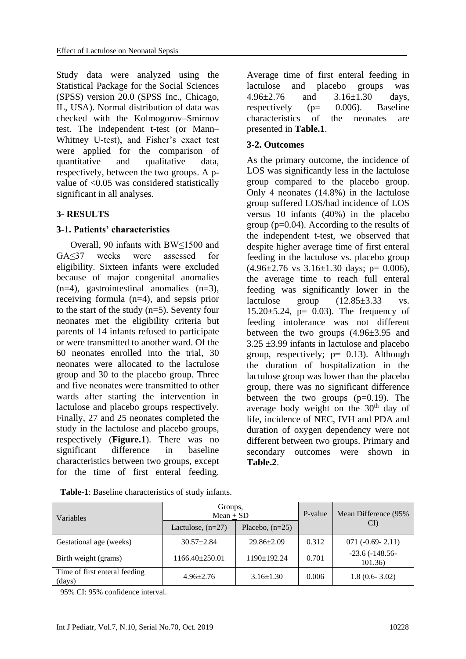Study data were analyzed using the Statistical Package for the Social Sciences (SPSS) version 20.0 (SPSS Inc., Chicago, IL, USA). Normal distribution of data was checked with the Kolmogorov–Smirnov test. The independent t-test (or Mann– Whitney U-test), and Fisher's exact test were applied for the comparison of quantitative and qualitative data, respectively, between the two groups. A pvalue of <0.05 was considered statistically significant in all analyses.

### **3- RESULTS**

### **3-1. Patients' characteristics**

 Overall, 90 infants with BW≤1500 and GA≤37 weeks were assessed for eligibility. Sixteen infants were excluded because of major congenital anomalies  $(n=4)$ , gastrointestinal anomalies  $(n=3)$ , receiving formula (n=4), and sepsis prior to the start of the study (n=5). Seventy four neonates met the eligibility criteria but parents of 14 infants refused to participate or were transmitted to another ward. Of the 60 neonates enrolled into the trial, 30 neonates were allocated to the lactulose group and 30 to the placebo group. Three and five neonates were transmitted to other wards after starting the intervention in lactulose and placebo groups respectively. Finally, 27 and 25 neonates completed the study in the lactulose and placebo groups, respectively (**Figure.1**). There was no significant difference in baseline characteristics between two groups, except for the time of first enteral feeding.

Average time of first enteral feeding in lactulose and placebo groups was 4.96±2.76 and 3.16±1.30 days, respectively  $(p= 0.006)$ . Baseline characteristics of the neonates are presented in **Table.1**.

### **3-2. Outcomes**

As the primary outcome, the incidence of LOS was significantly less in the lactulose group compared to the placebo group. Only 4 neonates (14.8%) in the lactulose group suffered LOS/had incidence of LOS versus 10 infants (40%) in the placebo group ( $p=0.04$ ). According to the results of the independent t-test, we observed that despite higher average time of first enteral feeding in the lactulose vs. placebo group  $(4.96\pm2.76 \text{ vs } 3.16\pm1.30 \text{ days}; \text{ p} = 0.006),$ the average time to reach full enteral feeding was significantly lower in the lactulose group  $(12.85\pm3.33 \text{ vs.}$ 15.20 $\pm$ 5.24, p= 0.03). The frequency of feeding intolerance was not different between the two groups  $(4.96\pm3.95)$  and  $3.25 \pm 3.99$  infants in lactulose and placebo group, respectively;  $p= 0.13$ ). Although the duration of hospitalization in the lactulose group was lower than the placebo group, there was no significant difference between the two groups  $(p=0.19)$ . The average body weight on the  $30<sup>th</sup>$  day of life, incidence of NEC, IVH and PDA and duration of oxygen dependency were not different between two groups. Primary and secondary outcomes were shown in **Table.2**.

| Variables                               | Groups,<br>$Mean + SD$ |                   | P-value | Mean Difference (95%       |
|-----------------------------------------|------------------------|-------------------|---------|----------------------------|
|                                         | Lactulose, $(n=27)$    | Placebo, $(n=25)$ |         | CI)                        |
| Gestational age (weeks)                 | $30.57 \pm 2.84$       | $29.86 \pm 2.09$  | 0.312   | $071(-0.69-2.11)$          |
| Birth weight (grams)                    | $1166.40 + 250.01$     | $1190 \pm 192.24$ | 0.701   | $-23.6(-148.56$<br>101.36) |
| Time of first enteral feeding<br>(days) | $4.96 \pm 2.76$        | $3.16 \pm 1.30$   | 0.006   | $1.8(0.6-3.02)$            |

95% CI: 95% confidence interval.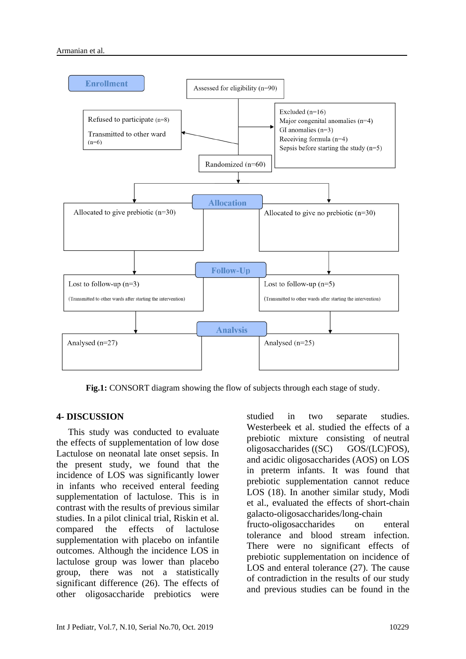

**Fig.1:** CONSORT diagram showing the flow of subjects through each stage of study.

# **4- DISCUSSION**

 This study was conducted to evaluate the effects of supplementation of low dose Lactulose on neonatal late onset sepsis. In the present study, we found that the incidence of LOS was significantly lower in infants who received enteral feeding supplementation of lactulose. This is in contrast with the results of previous similar studies. In a pilot clinical trial, Riskin et al. compared the effects of lactulose supplementation with placebo on infantile outcomes. Although the incidence LOS in lactulose group was lower than placebo group, there was not a statistically significant difference (26). The effects of other oligosaccharide prebiotics were

studied in two separate studies. [Westerbeek](https://www.ncbi.nlm.nih.gov/pubmed/?term=Westerbeek%20EA%5BAuthor%5D&cauthor=true&cauthor_uid=20032496) et al. studied the effects of a prebiotic mixture consisting of neutral oligosaccharides ((SC) GOS/(LC)FOS), and acidic oligosaccharides (AOS) on LOS in preterm infants. It was found that prebiotic supplementation cannot reduce LOS (18). In another similar study, Modi et al., evaluated the effects of short-chain galacto-oligosaccharides/long-chain fructo-oligosaccharides on enteral tolerance and blood stream infection. There were no significant effects of prebiotic supplementation on incidence of LOS and enteral tolerance (27). The cause of contradiction in the results of our study and previous studies can be found in the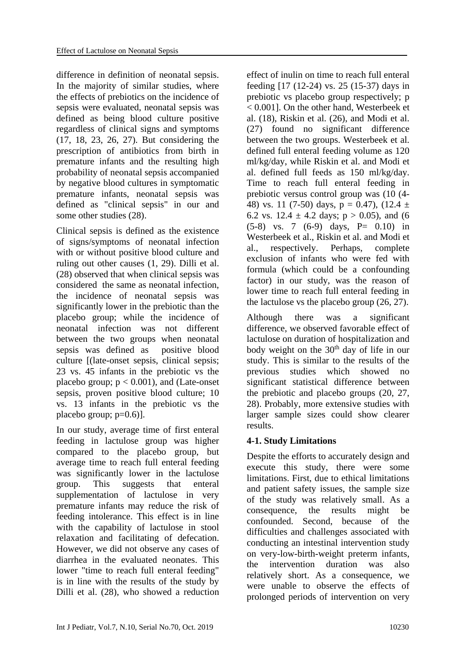difference in definition of neonatal sepsis. In the majority of similar studies, where the effects of prebiotics on the incidence of sepsis were evaluated, neonatal sepsis was defined as being blood culture positive regardless of clinical signs and symptoms (17, 18, 23, 26, 27). But considering the prescription of antibiotics from birth in premature infants and the resulting high probability of neonatal sepsis accompanied by negative blood cultures in symptomatic premature infants, neonatal sepsis was defined as "clinical sepsis" in our and some other studies (28).

Clinical sepsis is defined as the existence of signs/symptoms of neonatal infection with or without positive blood culture and ruling out other causes (1, 29). Dilli et al. (28) observed that when clinical sepsis was considered the same as neonatal infection, the incidence of neonatal sepsis was significantly lower in the prebiotic than the placebo group; while the incidence of neonatal infection was not different between the two groups when neonatal sepsis was defined as positive blood culture [(late-onset sepsis, clinical sepsis; 23 vs. 45 infants in the prebiotic vs the placebo group;  $p < 0.001$ ), and (Late-onset sepsis, proven positive blood culture; 10 vs. 13 infants in the prebiotic vs the placebo group;  $p=0.6$ ].

In our study, average time of first enteral feeding in lactulose group was higher compared to the placebo group, but average time to reach full enteral feeding was significantly lower in the lactulose group. This suggests that enteral supplementation of lactulose in very premature infants may reduce the risk of feeding intolerance. This effect is in line with the capability of lactulose in stool relaxation and facilitating of defecation. However, we did not observe any cases of diarrhea in the evaluated neonates. This lower "time to reach full enteral feeding" is in line with the results of the study by Dilli et al. (28), who showed a reduction

effect of inulin on time to reach full enteral feeding [17 (12-24) vs. 25 (15-37) days in prebiotic vs placebo group respectively; p < 0.001]. On the other hand, Westerbeek et al. (18), Riskin et al. (26), and Modi et al. (27) found no significant difference between the two groups. Westerbeek et al. defined full enteral feeding volume as 120 ml/kg/day, while Riskin et al. and Modi et al. defined full feeds as 150 ml/kg/day. Time to reach full enteral feeding in prebiotic versus control group was (10 (4- 48) vs. 11 (7-50) days,  $p = 0.47$ ), (12.4  $\pm$ 6.2 vs.  $12.4 \pm 4.2$  days;  $p > 0.05$ ), and (6  $(5-8)$  vs. 7  $(6-9)$  days, P= 0.10) in Westerbeek et al., Riskin et al. and Modi et al., respectively. Perhaps, complete exclusion of infants who were fed with formula (which could be a confounding factor) in our study, was the reason of lower time to reach full enteral feeding in the lactulose vs the placebo group (26, 27).

Although there was a significant difference, we observed favorable effect of lactulose on duration of hospitalization and body weight on the  $30<sup>th</sup>$  day of life in our study. This is similar to the results of the previous studies which showed no significant statistical difference between the prebiotic and placebo groups (20, 27, 28). Probably, more extensive studies with larger sample sizes could show clearer results.

# **4-1. Study Limitations**

Despite the efforts to accurately design and execute this study, there were some limitations. First, due to ethical limitations and patient safety issues, the sample size of the study was relatively small. As a consequence, the results might be confounded. Second, because of the difficulties and challenges associated with conducting an intestinal intervention study on very-low-birth-weight preterm infants, the intervention duration was also relatively short. As a consequence, we were unable to observe the effects of prolonged periods of intervention on very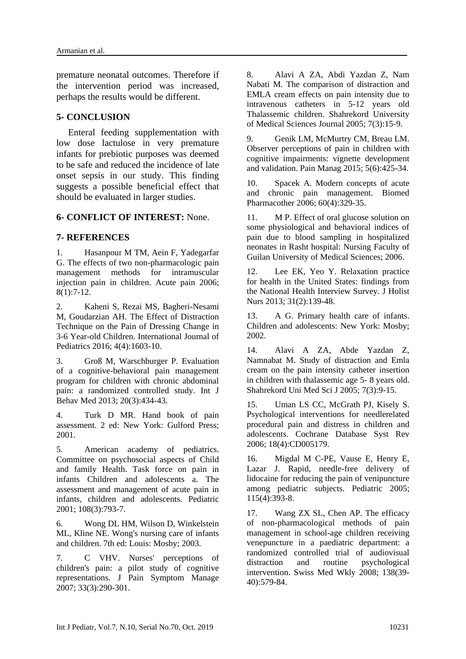premature neonatal outcomes. Therefore if the intervention period was increased, perhaps the results would be different.

### **5- CONCLUSION**

 Enteral feeding supplementation with low dose lactulose in very premature infants for prebiotic purposes was deemed to be safe and reduced the incidence of late onset sepsis in our study. This finding suggests a possible beneficial effect that should be evaluated in larger studies.

### **6- CONFLICT OF INTEREST:** None.

### **7- REFERENCES**

1. Hasanpour M TM, Aein F, Yadegarfar G. The effects of two non-pharmacologic pain management methods for intramuscular injection pain in children. Acute pain 2006; 8(1):7-12.

2. Kaheni S, Rezai MS, Bagheri-Nesami M, Goudarzian AH. The Effect of Distraction Technique on the Pain of Dressing Change in 3-6 Year-old Children. International Journal of Pediatrics 2016; 4(4):1603-10.

3. Groß M, Warschburger P. Evaluation of a cognitive-behavioral pain management program for children with chronic abdominal pain: a randomized controlled study. Int J Behav Med 2013; 20(3):434-43.

4. Turk D MR. Hand book of pain assessment. 2 ed: New York: Gulford Press; 2001.

5. American academy of pediatrics. Committee on psychosocial aspects of Child and family Health. Task force on pain in infants Children and adolescents a. The assessment and management of acute pain in infants, children and adolescents. Pediatric 2001; 108(3):793-7.

6. Wong DL HM, Wilson D, Winkelstein ML, Kline NE. Wong's nursing care of infants and children. 7th ed: Louis: Mosby; 2003.

7. C VHV. Nurses' perceptions of children's pain: a pilot study of cognitive representations. J Pain Symptom Manage 2007; 33(3):290-301.

8. Alavi A ZA, Abdi Yazdan Z, Nam Nabati M. The comparison of distraction and EMLA cream effects on pain intensity due to intravenous catheters in 5-12 years old Thalassemic children. Shahrekord University of Medical Sciences Journal 2005; 7(3):15-9.

9. Genik LM, McMurtry CM, Breau LM. Observer perceptions of pain in children with cognitive impairments: vignette development and validation. Pain Manag 2015; 5(6):425-34.

10. Spacek A. Modern concepts of acute and chronic pain management. Biomed Pharmacother 2006; 60(4):329-35.

11. M P. Effect of oral glucose solution on some physiological and behavioral indices of pain due to blood sampling in hospitalized neonates in Rasht hospital: Nursing Faculty of Guilan University of Medical Sciences; 2006.

12. Lee EK, Yeo Y. Relaxation practice for health in the United States: findings from the National Health Interview Survey. J Holist Nurs 2013; 31(2):139-48.

13. A G. Primary health care of infants. Children and adolescents: New York: Mosby; 2002.

14. Alavi A ZA, Abde Yazdan Z, Namnabat M. Study of distraction and Emla cream on the pain intensity catheter insertion in children with thalassemic age 5- 8 years old. Shahrekord Uni Med Sci J 2005; 7(3):9-15.

15. Uman LS CC, McGrath PJ, Kisely S. Psychological interventions for needlerelated procedural pain and distress in children and adolescents. Cochrane Database Syst Rev 2006; 18(4):CD005179.

16. Migdal M C-PE, Vause E, Henry E, Lazar J. Rapid, needle-free delivery of lidocaine for reducing the pain of venipuncture among pediatric subjects. Pediatric 2005; 115(4):393-8.

17. Wang ZX SL, Chen AP. The efficacy of non-pharmacological methods of pain management in school-age children receiving venepuncture in a paediatric department: a randomized controlled trial of audiovisual distraction and routine psychological intervention. Swiss Med Wkly 2008; 138(39- 40):579-84.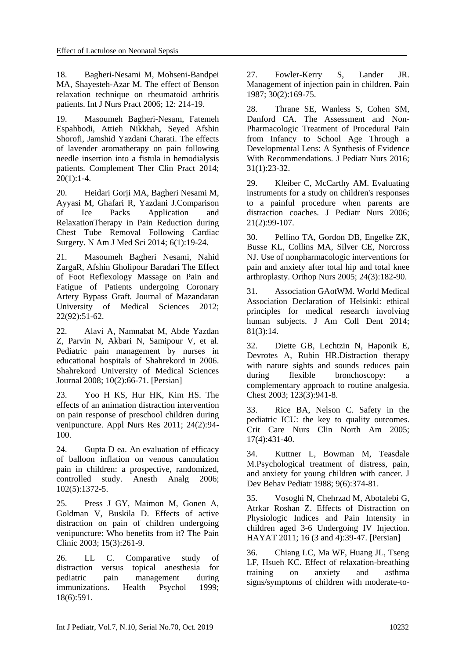18. Bagheri-Nesami M, Mohseni-Bandpei MA, Shayesteh-Azar M. The effect of Benson relaxation technique on rheumatoid arthritis patients. Int J Nurs Pract 2006; 12: 214-19.

19. Masoumeh Bagheri-Nesam, Fatemeh Espahbodi, Attieh Nikkhah, Seyed Afshin Shorofi, Jamshid Yazdani Charati. The effects of lavender aromatherapy on pain following needle insertion into a fistula in hemodialysis patients. Complement Ther Clin Pract 2014;  $20(1):1-4.$ 

20. Heidari Gorji MA, Bagheri Nesami M, Ayyasi M, Ghafari R, Yazdani J.Comparison of Ice Packs Application and RelaxationTherapy in Pain Reduction during Chest Tube Removal Following Cardiac Surgery. N Am J Med Sci 2014; 6(1):19-24.

21. Masoumeh Bagheri Nesami, Nahid ZargaR, Afshin Gholipour Baradari The Effect of Foot Reflexology Massage on Pain and Fatigue of Patients undergoing Coronary Artery Bypass Graft. Journal of Mazandaran University of Medical Sciences 2012; 22(92):51-62.

22. Alavi A, Namnabat M, Abde Yazdan Z, Parvin N, Akbari N, Samipour V, et al. Pediatric pain management by nurses in educational hospitals of Shahrekord in 2006. Shahrekord University of Medical Sciences Journal 2008; 10(2):66-71. [Persian]

23. Yoo H KS, Hur HK, Kim HS. The effects of an animation distraction intervention on pain response of preschool children during venipuncture. Appl Nurs Res 2011; 24(2):94- 100.

24. Gupta D ea. An evaluation of efficacy of balloon inflation on venous cannulation pain in children: a prospective, randomized, controlled study. Anesth Analg 2006; 102(5):1372-5.

25. Press J GY, Maimon M, Gonen A, Goldman V, Buskila D. Effects of active distraction on pain of children undergoing venipuncture: Who benefits from it? The Pain Clinic 2003; 15(3):261-9.

26. LL C. Comparative study of distraction versus topical anesthesia for pediatric pain management during immunizations. Health Psychol 1999; 18(6):591.

27. Fowler-Kerry S, Lander JR. Management of injection pain in children. Pain 1987; 30(2):169-75.

28. Thrane SE, Wanless S, Cohen SM, Danford CA. The Assessment and Non-Pharmacologic Treatment of Procedural Pain from Infancy to School Age Through a Developmental Lens: A Synthesis of Evidence With Recommendations. J Pediatr Nurs 2016; 31(1):23-32.

29. Kleiber C, McCarthy AM. Evaluating instruments for a study on children's responses to a painful procedure when parents are distraction coaches. J Pediatr Nurs 2006; 21(2):99-107.

30. Pellino TA, Gordon DB, Engelke ZK, Busse KL, Collins MA, Silver CE, Norcross NJ. Use of nonpharmacologic interventions for pain and anxiety after total hip and total knee arthroplasty. Orthop Nurs 2005; 24(3):182-90.

31. Association GAotWM. World Medical Association Declaration of Helsinki: ethical principles for medical research involving human subjects. J Am Coll Dent 2014; 81(3):14.

32. Diette GB, Lechtzin N, Haponik E, Devrotes A, Rubin HR.Distraction therapy with nature sights and sounds reduces pain during flexible bronchoscopy: a complementary approach to routine analgesia. Chest 2003; 123(3):941-8.

33. Rice BA, Nelson C. Safety in the pediatric ICU: the key to quality outcomes. Crit Care Nurs Clin North Am 2005; 17(4):431-40.

34. Kuttner L, Bowman M, Teasdale M.Psychological treatment of distress, pain, and anxiety for young children with cancer. J Dev Behav Pediatr 1988; 9(6):374-81.

35. Vosoghi N, Chehrzad M, Abotalebi G, Atrkar Roshan Z. Effects of Distraction on Physiologic Indices and Pain Intensity in children aged 3-6 Undergoing IV Injection. HAYAT 2011; 16 (3 and 4):39-47. [Persian]

36. Chiang LC, Ma WF, Huang JL, Tseng LF, Hsueh KC. Effect of relaxation-breathing training on anxiety and asthma signs/symptoms of children with moderate-to